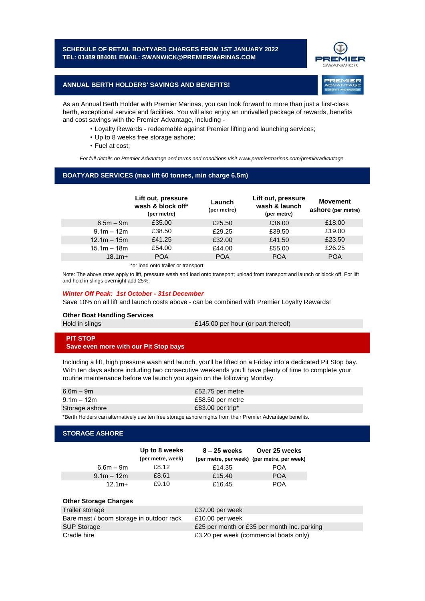**SCHEDULE OF RETAIL BOATYARD CHARGES FROM 1ST JANUARY 2022 TEL: 01489 884081 EMAIL: SWANWICK@PREMIERMARINAS.COM**



**REMIER** 

### **ANNUAL BERTH HOLDERS' SAVINGS AND BENEFITS!**

As an Annual Berth Holder with Premier Marinas, you can look forward to more than just a first-class berth, exceptional service and facilities. You will also enjoy an unrivalled package of rewards, benefits and cost savings with the Premier Advantage, including -

- Loyalty Rewards redeemable against Premier lifting and launching services;
- Up to 8 weeks free storage ashore;
- Fuel at cost;

*For full details on Premier Advantage and terms and conditions visit www.premiermarinas.com/premieradvantage*

# **BOATYARD SERVICES (max lift 60 tonnes, min charge 6.5m)**

|               | Lift out, pressure<br>wash & block off*<br>(per metre) | Launch<br>(per metre) | Lift out, pressure<br>wash & launch<br>(per metre) | <b>Movement</b><br>ashore (per metre) |
|---------------|--------------------------------------------------------|-----------------------|----------------------------------------------------|---------------------------------------|
| $6.5m - 9m$   | £35.00                                                 | £25.50                | £36.00                                             | £18.00                                |
| $9.1m - 12m$  | £38.50                                                 | £29.25                | £39.50                                             | £19.00                                |
| $12.1m - 15m$ | £41.25                                                 | £32.00                | £41.50                                             | £23.50                                |
| $15.1m - 18m$ | £54.00                                                 | £44.00                | £55.00                                             | £26.25                                |
| $18.1m+$      | <b>POA</b>                                             | <b>POA</b>            | <b>POA</b>                                         | <b>POA</b>                            |

\*or load onto trailer or transport.

Note: The above rates apply to lift, pressure wash and load onto transport; unload from transport and launch or block off. For lift and hold in slings overnight add 25%.

#### *Winter Off Peak: 1st October - 31st December*

Save 10% on all lift and launch costs above - can be combined with Premier Loyalty Rewards!

### **Other Boat Handling Services** Hold in slings

£145.00 per hour (or part thereof)

# **PIT STOP Save even more with our Pit Stop bays**

Including a lift, high pressure wash and launch, you'll be lifted on a Friday into a dedicated Pit Stop bay. With ten days ashore including two consecutive weekends you'll have plenty of time to complete your routine maintenance before we launch you again on the following Monday.

| $6.6m - 9m$    | £52.75 per metre |
|----------------|------------------|
| $9.1m - 12m$   | £58.50 per metre |
| Storage ashore | £83.00 per trip* |

\*Berth Holders can alternatively use ten free storage ashore nights from their Premier Advantage benefits.

## **STORAGE ASHORE**

|              | Up to 8 weeks<br>(per metre, week) | 8 – 25 weeks | Over 25 weeks<br>(per metre, per week) (per metre, per week) |
|--------------|------------------------------------|--------------|--------------------------------------------------------------|
| $6.6m - 9m$  | £8.12                              | £14.35       | <b>POA</b>                                                   |
| $9.1m - 12m$ | £8.61                              | £15.40       | <b>POA</b>                                                   |
| $12.1m+$     | £9.10                              | £16.45       | POA                                                          |

## **Other Storage Charges**

| Trailer storage                          | £37.00 per week                             |
|------------------------------------------|---------------------------------------------|
| Bare mast / boom storage in outdoor rack | £10.00 per week                             |
| <b>SUP Storage</b>                       | £25 per month or £35 per month inc. parking |
| Cradle hire                              | £3.20 per week (commercial boats only)      |